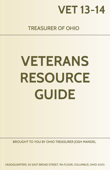

## TREASURER OF OHIO

# **VETERANS RESOURCE GUIDE**

BROUGHT TO YOU BY OHIO TREASURER JOSH MANDEL

HEADQUARTERS: 30 EAST BROAD STREET, 9th FLOOR, COLUMBUS, OHIO 43215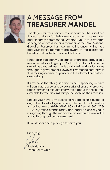

## A MESSAGE FROM **TREASURER MANDEL**

Thank you for your service to our country. The sacrifices that you and your family have made are much appreciated and sincerely commended. Whether you are a veteran, serving on active duty, or a member of the Ohio National Guard or Reserves, I am committed to ensuring that you and your family members are aware of the assistance, benefits and protections available to you.

I created this guide in my office in an effort to place available resources at your fingertips. Much of the information in this guide has already been made available in various locations throughout government. However, I wanted to centralize it, thus making it easier for you to find the information that you are seeking.

It's my hope that this guide and its corresponding website will continue to grow and serve as a functional and practical repository for all relevant information about the resources available to veterans, military personnel and their families.

Should you have any questions regarding this guide, or any other facet of government, please do not hesitate to contact me at (614) 466-2160 or toll free at (800) 228- 1102. My office stands ready and eager to assist you in navigating through the many veterans resources available to you throughout our government.

It is an honor and a privilege to serve you.

Sincerely,

Josh Mandel Treasurer of Ohio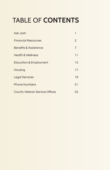## TABLE OF **CONTENTS**

| Ask Josh                              | ı  |
|---------------------------------------|----|
| <b>Financial Resources</b>            | 2  |
| Benefits & Assistance                 | 7  |
| <b>Health &amp; Wellness</b>          | 11 |
| <b>Education &amp; Employment</b>     | 13 |
| Housing                               | 17 |
| <b>Legal Services</b>                 | 19 |
| <b>Phone Numbers</b>                  | 21 |
| <b>County Veteran Service Offices</b> | 23 |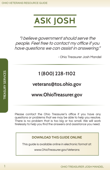

"I believe government should serve the people. Feel free to contact my office if you have questions we can assist in answering."

- Ohio Treasurer Josh Mandel

## **1 (800) 228-1102**

## **veterans@[tos.ohio.gov](mailto:veterans%40tos.ohio.gov?subject=)**

## **[www.OhioTreasurer.gov](http://www.OhioTreasurer.gov)**

Please contact the Ohio Treasurer's office if you have any questions or problems that we may be able to help you resolve. There is no problem that is too big or too small. We will work tirelessly to help you find the answers and assistance you need.

#### **DOWNLOAD THIS GUIDE ONLINE**

This guide is available online in electronic format at:

[www.OhioTreasurer.gov/Veterans](http://www.OhioTreasurer.gov/Veterans)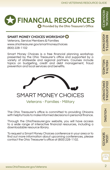

## **SMART MONEY CHOICES WORKSHOP**

Veterans, Service Members & Families [www.ohiotreasurer.gov/smartmoneychoices](http://www.ohiotreasurer.gov/smartmoneychoices) (800) 228-1102

Smart Money Choices is a free financial planning workshop presented by the Ohio Treasurer's office and supported by a variety of statewide and regional partners. Courses include topics on budgeting, credit and debt management, fraud prevention and local services and benefits.



Veterans - Families - Military

The Ohio Treasurer's office is committed to providing Ohioans with helpful tools to make informed decisions in personal finance.

Through the OhioTreasurer.gov website, you will have access to a wide range of interactive financial resources, including a downloadable resource library.

To request a Smart Money Choices conference in your area or to find out more information about upcoming conferences, please contact the Ohio Treasurer's office at (800) 228-1102.

egg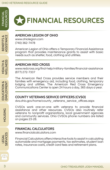

## **FINANCIAL RESOURCES**

#### **AMERICAN LEGION OF OHIO**

[www.ohiolegion.com](http://www.ohiolegion.com) (740) 362-7478

American Legion of Ohio offers a Temporary Financial Assistance program that provides maintenance grants to assist with basic needs such as shelter, food, clothing and utilities.

## **AMERICAN RED CROSS**

[www.redcross.org/find-help/military-families/financial-assistance](http://www.redcross.org/find-help/military-families/financial-assistance) (877) 272-7337

The American Red Cross provides service members and their families with emergency aid, including food, clothing, temporary lodging and utilities. The American Red Cross Emergency Communications Center is open 24 hours a day, 365 days a year.

## **COUNTY VETERANS SERVICE OFFICERS (CVSO)**

[dvs.ohio.gov/home/county\\_veterans\\_service\\_offices.aspx](http://dvs.ohio.gov/home/county_veterans_service_offices.aspx)

CVSOs work one-on-one with veterans to provide financial assistance and other resources. CVSOs also routinely refer veterans to nonprofit organizations, local government agencies and community services. Ohio CVSOs phone numbers are listed on pages 23-28.

## **FINANCIAL CALCULATORS**

[www.financialcalculators.com](http://www.financialcalculators.com)

Financial Calculators offers interactive tools to assist in calculating automobile and mortgage payments, tax estimates, student loan rates, insurance costs, credit card fees and retirement plans.

LEGAL<br>SERVICES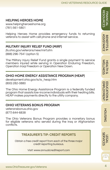Financial Resources

ASSISTANCE BENEFITS &

 $\infty$ 

**ASSISTANCE BENEFITS** 

WELLNESS HEALTH &

**WELLNESS HEALTH &** 

EMPLOYMENT EDUCATION &

EDUCATION &<br>EMPLOYMENT

HOUSING

**HOUSING** 

**SERVICES** 

## **HELPING HEROES HOME**

[www.helpingheroeshome.org](http://www.helpingheroeshome.org) (781) 561-5801

Helping Heroes Home provides emergency funds to returning veterans to assist with cell phone and internet service.

## **MILITARY INJURY RELIEF FUND (MIRF)**

[jfs.ohio.gov/veterans/new/mirf.stm](http://jfs.ohio.gov/veterans/new/mirf.stm) (888) 296-7541 (option 5)

The Military Injury Relief Fund grants a single payment to service members injured while serving in Operation Enduring Freedom, Operation Iraqi Freedom or Operation New Dawn.

## **OHIO HOME ENERGY ASSISTANCE PROGRAM (HEAP)**

[development.ohio.gov/is/is\\_heap.htm](http://development.ohio.gov/is/is_heap.htm) (800) 282-0880

The Ohio Home Energy Assistance Program is a federally funded program that assists low-income individuals with their heating bills. HEAP makes payments directly to the utility company.

## **OHIO VETERANS BONUS PROGRAM**

[veteransbonus.ohio.gov](http://veteransbonus.ohio.gov) (877) 644-6838

The Ohio Veterans Bonus Program provides a monetary bonus for eligible veterans who served during the Iraq or Afghanistan conflicts.

#### **TREASURER'S TIP: CREDIT REPORTS**

Obtain a free credit report from each of the three major credit reporting bureaus.

Visit: [www.annualcreditreport.com](http://www.annualcreditreport.com)

egg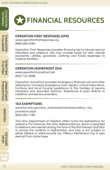

## **FINANCIAL RESOURCES**

## **OPERATION FIRST RESPONSE (OFR)**

[www.operationfirstresponse.org](http://www.operationfirstresponse.org) (888) 289-0280

Operation First Response provides financial aid to injured service members and veterans. Aid may include funds for rent, vehicle payments, utilities, groceries, clothing and travel expenses to medical facilities.

#### **OPERATION HOMEFRONT (OH)**

[www.operationhomefront.net](http://www.operationhomefront.net) (800) 722-6098

Operation Homefront provides emergency financial aid and other assistance, including emergency food, repairs, critical baby items, furniture and local moving assistance to the families of service members and wounded warriors. Assistance is paid directly to creditors and service providers.

#### **TAX EXEMPTIONS**

[www.tax.ohio.gov/ohio\\_individual/individual/military\\_tax\\_](http://www.tax.ohio.gov/ohio_individual/individual/military_tax_provisions.aspx) [provisions.aspx](http://www.tax.ohio.gov/ohio_individual/individual/military_tax_provisions.aspx) (800) 282-1780

The Ohio Department of Taxation offers many tax exemptions for veterans. For instance, the Ohio Veterans Bonus, which is awarded to veterans who served during the time of the first Persian Gulf War or during the conflicts in Afghanistan and Iraq, is not subject to either federal or state income tax. Military Retirement Pay is also exempt from state taxes.

**HEALTH &<br>WELLNESS** WELLNESS HEALTH &

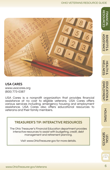#### OHIO VETERANS RESOURCE GUIDE

Financial Resources

RESOURCES

ASSISTANCE BENEFITS &

⊗

**ASSISTANCE BENEFITS** 

WELLNESS HEALTH &

**WELLNESS HEALTH &** 

EMPLOYMENT EDUCATION &

EMPLOYMENT **EDUCATION &** 



#### **USA CARES**

[www.usacares.org](http://www.usacares.org) (800) 773-0387

USA Cares is a nonprofit organization that provides financial assistance at no cost to eligible veterans. USA Cares offers various services including, emergency housing and employment assistance. USA Cares also offers educational resources to veterans and their family members.



The Ohio Treasurer's Financial Education department provides interactive resources to assist with budgeting, credit, debt management and retirement planning.

Visit: [www.OhioTreasurer.gov](http://www.operationfirstresponse.org) for more details.

HOUSING

**HOUSING** 

egg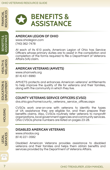

## **BENEFITS & ASSISTANCE**

#### **AMERICAN LEGION OF OHIO**

[www.ohiolegion.com](http://www.ohiolegion.com) (740) 362-7478

At each of its 610 posts, American Legion of Ohio has Service Officers whose primary duties are to assist in the compilation and completion of the forms required to file a Department of Veterans Affairs (VA) claim.

## **AMERICAN VETERANS (AMVETS)**

[www.ohamvets.org](http://www.ohamvets.org) (614) 431-6990

AMVETS protects and enhances American veterans' entitlements to help improve the quality of life for veterans and their families, along with the community in which they live.

## **COUNTY VETERANS SERVICE OFFICERS (CVSO)**

[dvs.ohio.gov/home/county\\_veterans\\_service\\_offices.aspx](http://dvs.ohio.gov/home/county_veterans_service_offices.aspx)

CVSOs work one-on-one with veterans to identify the types of VA assistance they are eligible for, and then prepare their benefits claims. Also, CVSOs routinely refer veterans to nonprofit organizations, local government agencies and community services. Ohio CVSOs phone numbers are listed on pages 23-28.

## **DISABLED AMERICAN VETERANS**

[www.ohiodav.org](http://www.ohiodav.org) (614) 221-3582

Disabled American Veterans provides assistance to disabled veterans and their families and helps them obtain benefits and services provided by the Department of Veterans Affairs.

LEGAL<br>SERVICES

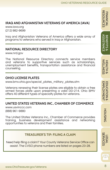## **IRAQ AND AFGHANISTAN VETERANS OF AMERICA (IAVA)**

[www.iava.org](http://www.iava.org) (212) 982-9699

Iraq and Afghanistan Veterans of America offers a wide array of programs to veterans who served in Iraq or Afghanistan.

## **NATIONAL RESOURCE DIRECTORY**

[www.nrd.gov](http://www.nrd.gov)

The National Resource Directory connects service members and veterans to supportive services such as scholarships, unemployment benefits, transportation assistance and financial counseling.

## **OHIO LICENSE PLATES**

[www.bmv.ohio.gov/special\\_plates\\_military\\_plates.stm](http://www.bmv.ohio.gov/special_plates_military_plates.stm)

Veterans renewing their license plates are eligible to obtain a free armed forces plate upon presenting a valid DD-214. Ohio BMV offers 40 different types of specialty plates for veterans.

## **UNITED STATES VETERANS INC., CHAMBER OF COMMERCE**

[www.usvinccc.com](http://www.usvinccc.com) (888) 961-9880

The United States Veterans Inc., Chamber of Commerce provides training, business development assistance and networking opportunities to veterans and their families.

## **TREASURER'S TIP: FILING A CLAIM**

Need help filing a claim? Your County Veterans Service Office can assist. The CVSO phone numbers are listed on pages 23-28.

Financial Resources

**RESOURCES FINANCIAL** 

ASSISTANCE BENEFITS &

 $\infty$ 

**ASSISTANCE BENEFITS** 

WELLNESS HEALTH &

**WELLNESS HEALTH &** 

Bee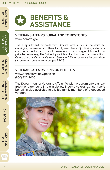

## **BENEFITS & ASSISTANCE**

#### **VETERANS AFFAIRS BURIAL AND TOMBSTONES**

[www.cem.va.gov](http://www.cem.va.gov)

The Department of Veterans Affairs offers burial benefits to qualifying veterans and their family members. Qualifying veterans can be buried in a national cemetery at no charge. If buried in a private cemetery, the VA will provide a tombstone and medallion. Contact your County Veteran Service Office for more information (phone numbers are on pages 23-28).

#### **VETERANS AFFAIRS PENSION BENEFITS**

[www.benefits.va.gov/pension](http://www.benefits.va.gov/pension) (800) 827-1000

The Department of Veterans Affairs Pension program offers a taxfree monetary benefit to eligible low-income veterans. A survivor's benefit is also available to eligible family members of a deceased veteran.





888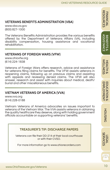## **VETERANS BENEFITS ADMINISTRATION (VBA)**

[www.vba.va.gov](http://www.vba.va.gov) (800) 827-1000

The Veterans Benefits Administration provides the various benefits offered by the Department of Veterans Affairs (VA), including disability compensation, housing assistance and vocational rehabilitation.

#### **VETERANS OF FOREIGN WARS (VFW)**

[www.ohiovfw.org](http://www.ohiovfw.org) (614) 224-1838

Veterans of Foreign Wars offers research, advice and assistance for veterans filing claims for benefits. The VFW assists veterans in reopening claims, following up on previous claims and assisting with appeals and reviewing denied claims. The VFW will also answer, research and assist with inquiries about medical, death/ burial and other miscellaneous benefits.

#### **VIETNAM VETERANS OF AMERICA (VVA)**

[www.vva.org](http://www.vva.org) (614) 228-0188

Vietnam Veterans of America advocates on issues important to veterans of the Vietnam War. The VVA assists veterans in obtaining the quality healthcare they deserve, along with holding government officials accountable on supporting veterans' benefits.

## **TREASURER'S TIP: DISCHARGE PAPERS**

Veterans can file their DD-214 at their local courthouse or with their CVSO.

For more information go to [www.ohiorecorders.com](http://www.ohiorecorders.com)

ASSISTANCE **ASSISTANCE BENEFITS** BENEFITS &  $\infty$ 

egg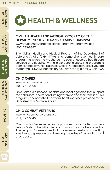BENEFITS & ASSISTANCE

ASSISTANCE BENEFITS &

## **HEALTH & WELLNESS**

#### **CIVILIAN HEALTH AND MEDICAL PROGRAM OF THE DEPARTMENT OF VETERANS AFFAIRS (CHAMPVA)**

[www.va.gov/hac/forbeneficiaries/champva/champva.asp](http://www.va.gov/hac/forbeneficiaries/champva/champva.asp) (800) 733-8387

The Civilian Health and Medical Program of the Department of Veterans Affairs (CHAMPVA) is a comprehensive health care program in which the VA shares the cost of covered health care services and supplies with eligible beneficiaries. The program is administered by Chief Business Office Purchased Care. If you are currently a TRICARE beneficiary, you are not eligible for CHAMPVA.

#### **OHIO CARES**

[www.ohiocares.ohio.gov](http://www.ohiocares.ohio.gov) (800) 761-0868

Ohio Cares is a network of state and local agencies that support the behavioral health of returning veterans and their families. This program enhances the behavioral health services provided by the Department of Veteran Affairs.

## **OHIO COMBAT VETERANS**

[www.ohiocombatveterans.org](http://www.ohiocombatveterans.org) (614) 777-6040

Ohio Combat Veterans is a social program whose goal is to make a veteran's shift into civilian life, after combat, as smooth as possible. The program focuses on reducing a veteran's feelings of isolation, loneliness, depression and lowering the rates of alcoholism and drug abuse.

EDUCATION &<br>EMPLOYMENT EDUCATION & EMPLOYMENT

> **HOUSING** HOUSING

LEGAL<br>SERVICES

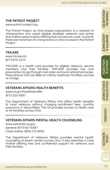## **THE PATRIOT PROJECT**

[www.patriot-project.org](http://www.patriot-project.org)

The Patriot Project, an Ohio-based organization, is a network of chiropractors who assist eligible disabled veterans and active duty military personnel by offering free chiropractic care. Currently there are more than 40 chiropractors in Ohio involved in the Patriot Project.

#### **TRICARE**

[www.tricare.mil](http://www.tricare.mil) (877) 874-2273

TRICARE is a health care provider for eligible veterans, service members and their families. TRICARE provides low cost prescription drugs through mail order and local retail pharmacies. Prescriptions that are filled at military treatment facilities are free of charge.

#### **VETERANS AFFAIRS HEALTH BENEFITS**

[www.va.gov/healthbenefits](http://www.va.gov/healthbenefits) (877) 222-8387

The Department of Veterans Affairs (VA) offers health benefits to most veterans without charging enrollment fees, monthly premiums or deductibles. The VA provides access to health care at 44 facilities across Ohio.

#### **VETERANS AFFAIRS MENTAL HEALTH COUNSELING**

[www.vetcenter.va.gov](http://www.vetcenter.va.gov) General: (877) 927-8387 Crisis Hotline: (800) 273-8255

The Department of Veterans Affairs provides mental health counseling at seven centers across Ohio. It also operates a Crisis Hotline offering free and confidential support for veterans and their families.

**ASSISTANCE** ASSISTANCE **BENEFITS** BENEFITS &  $\infty$ 

WELLNESS HEALTH &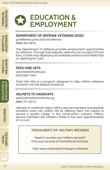## **EDUCATION & EMPLOYMENT**

#### **DEPARTMENT OF DEFENSE VETERANS (DOD)**

[godefense.cpms.osd.mil/veterans](http://godefense.cpms.osd.mil/veterans) (888) 363-4872

The Department of Defense provides employment opportunities for veterans. Through their website, veterans can access DOD job fairs, a state map displaying all available positions and helpful tips on applying for a job.

#### **FEDS HIRE VETS**

[www.fedshirevets.gov](http://www.fedshirevets.gov) (202) 606-7304

Feds Hire Vets is a program designed to help military veterans transition into the federal workforce.

#### **HELMETS TO HARDHATS**

[www.helmetstohardhats.org](http://www.helmetstohardhats.org) (866) 741-6210

Helmets to Hardhats helps military service members successfully transition back into civilian life by offering them the means to secure a quality career in the construction industry. Military service members are offered a three to five year apprenticeship at no cost.

## **TREASURER'S TIP: MILITARY RECORDS**

Need to access your military records? Find your records at the National Archives.

Visit: [www.nationalarchives.gov/veterans](http://www.archives.gov/veterans)

888

Financial Resources

FINANCIAL<br>RESOURCES

HOUSING

**HOUSING** 

LEGAL<br>SERVICES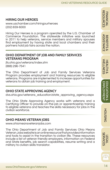#### OHIO VETERANS RESOURCE GUIDE

## **HIRING OUR HEROES**

[www.uschamber.com/hiringourheroes](http://www.uschamber.com/hiringourheroes) (202) 659-6000

Hiring Our Heroes is a program operated by the U.S. Chamber of Commerce Foundation. The statewide initiative was launched in 2011 to help veterans, service members and military spouses find employment by having state and local chambers and their partners hold job fairs across the nation.

#### **OHIO DEPARTMENT OF JOB AND FAMILY SERVICES VETERANS PROGRAM**

[jfs.ohio.gov/veterans/index.stm](http://jfs.ohio.gov/veterans/index.stm) (888) 296-7541

The Ohio Department of Job and Family Services Veterans Program provides employment and training resources to eligible veterans. Programs are implemented to increase opportunities for veterans to obtain job training and employment.

## **OHIO STATE APPROVING AGENCY**

[dvs.ohio.gov/veterans\\_education/state\\_approving\\_agency.aspx](http://dvs.ohio.gov/veterans_education/state_approving_agency.aspx) 

The Ohio State Approving Agency works with veterans and a Certifying Officer to provide on-the-job or apprenticeship training to eligible veterans and teaches the skills necessary for jobs in the civilian workforce.

## **OHIO MEANS VETERAN JOBS**

[www.ohiomeansveteranjobs.com](http://www.ohiomeansveteranjobs.com)

The Ohio Department of Job and Family Services Ohio Means Veteran Jobs website is an online resource that provides information and tools to assist in the transition to civilian life. These resources include a list of veteran friendly employers, information on Federal and State benefits, job search capabilities, resume writing and a

Financial Resources

**RESOURCES FINANCIAL** 



egg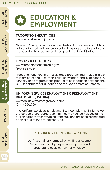## **EDUCATION & EMPLOYMENT**

## **TROOPS TO ENERGY JOBS**

[www.troopstoenergyjobs.com](http://www.troopstoenergyjobs.com)

Troops to Energy Jobs accelerates the training and employability of veterans for work in the energy sector. The program offers veterans the opportunity to be placed throughout the United States.

## **TROOPS TO TEACHERS**

[www.troopstoteachers.ohio.gov](http://www.troopstoteachers.ohio.gov) (800) 852-6064

Troops to Teachers is an assistance program that helps eligible military personnel use their skills, knowledge and experience in schools. This program is the product of collaboration between the U.S. Department of Education and the Department of Defense.

#### **UNIFORM SERVICES EMPLOYMENT & REEMPLOYMENT RIGHTS ACT (USERRA)**

[www.dol.gov/vets/programs/userra](http://www.dol.gov/vets/programs/userra) (614) 466-2768

The Uniform Services Employment & Reemployment Rights Act protects veterans' careers so that they may be reemployed at their civilian careers after returning from duty and are not discriminated against due to their military service.

#### **TREASURER'S TIP: RESUME WRITING**

Don't use military terms when writing a resume. Remember, not all prospective employers will understand basic military terminology.

ASSISTANCE ASSISTANCE BENEFITS & BENEFITS & **HEALTH &<br>WELLNESS** WELLNESS HEALTH &

Financial Resources

FINANCIAL<br>RESOURCES

CATION & EDUCATION & EMPLOYMENT EDUCATION &<br>EMPLOYMENT

**HOUSING** HOUSING

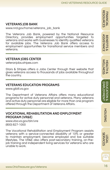## **VETERANS JOB BANK**

[www.nrd.gov/home/veterans\\_job\\_bank](http://www.nrd.gov/home/veterans_job_bank)

The Veterans Job Bank, powered by the National Resource Directory, provides employment opportunities targeted to veterans and works with businesses to identify qualified veterans for available jobs. The Veterans Job Bank offers access to employment opportunities for transitional service members and veterans.

## **VETERAN JOBS CENTER**

[veteranjobs.stripes.com](http://veteranjobs.stripes.com)

Stars & Stripes offers a Jobs Center through their website that gives veterans access to thousands of jobs available throughout the country.

## **VETERANS EDUCATION PROGRAMS**

[www.gibill.va.gov](http://www.gibill.va.gov)

The Department of Veterans Affairs offers many educational programs for active duty personnel and veterans. Many veterans and active duty personnel are eligible for more than one program offered through the Department of Veterans Affairs.

#### **VOCATIONAL REHABILITATION AND EMPLOYMENT PROGRAM (VR&E)**

[www.vba.va.gov/bln/vre](http://www.vba.va.gov/bln/vre) (800) 827-1000

The Vocational Rehabilitation and Employment Program assists veterans with a service-connected disability of 10% or greater to maintain employment, become employed and live suitable lifestyles. The VR&E also offers post-secondary training, on-thejob training and independent living services for veterans who are unable to work.

Financial Resources

**RESOURCES** 

 $\frac{8}{8}$ 

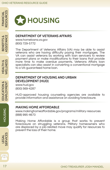

## **HOUSING**

#### **DEPARTMENT OF VETERANS AFFAIRS**

[www.homeloans.va.gov](http://www.homeloans.va.gov) (800) 729-5772

The Department of Veterans Affairs (VA) may be able to assist veterans who are having difficulty paying their mortgages. The VA can assist veterans by working with loan servicers to review payment plans or make modifications to their loans that provide more time to make overdue payments. Veterans Affairs loan specialists can also assist in converting a conventional mortgage to a VA-guaranteed home loan.

#### **DEPARTMENT OF HOUSING AND URBAN DEVELOPMENT (HUD)**

[www.hud.gov](http://www.hud.gov) (800) 569-4287

HUD-approved housing counseling agencies are available to provide information and assistance on avoiding foreclosure.

#### **MAKING HOME AFFORDABLE**

[www.makinghomeaffordable.gov/programs/military-resources](http://www.makinghomeaffordable.gov/programs/military-resources) (888) 995-4673

Making Home Affordable is a group that works to prevent foreclosure on struggling veterans. Military homeowners who are displaced by a job-related move may qualify for resources to prevent the loss of their home.

BENEFITS & ASSISTANCE

ASSISTANCE BENEFITS&

EDUCATION &<br>EMPLOYMENT EDUCATION & EMPLOYMENT

**BEE**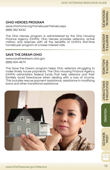## **OHIO HEROES PROGRAM**

[www.ohiohome.org/homebuyer/heroes.aspx](http://www.ohiohome.org/homebuyer/heroes.aspx) (888) 362-6432

The Ohio Heroes program is administered by the Ohio Housing Finance Agency (OHFA). Ohio Heroes provides veterans, active military and reserves with all the benefits of OHFA's first-time homebuyer program at a lower interest rate.

## **SAVE THE DREAM OHIO**

[www.savethedream.ohio.gov](http://www.savethedream.ohio.gov) (888) 404-4674

The Save the Dream program helps Ohio veterans struggling to make timely house payments. The Ohio Housing Finance Agency (OHFA) administers federal funds that help veterans and their families avoid foreclosure when dealing with a loss of income. This includes rescue payment assistance, assistance in modifying loans and other transitional assistance.



222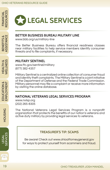

BENEFITS & ASSISTANCE

ASSISTANCE BENEFITS &

## **LEGAL SERVICES**

#### **BETTER BUSINESS BUREAU MILITARY LINE**

[www.bbb.org/us/military-line](http://www.bbb.org/us/military-line)

The Better Business Bureau offers financial readiness classes near military facilities to help service members identify consumer threats and to file complaints, if necessary.

#### **MILITARY SENTINEL**

[www.ftc.gov/sentinel/military](http://www.ftc.gov/sentinel/military) (877) 382-4357

Military Sentinel is a centralized online collection of consumer fraud and identity theft complaints. The Military Sentinel is a joint initiative of the Department of Defense and the Federal Trade Commission. Military personnel may file a complaint or receive more information by visiting the online database.

#### **NATIONAL VETERANS LEGAL SERVICES PROGRAM**

[www.nvlsp.org](http://www.nvlsp.org) (202) 265-8305

The National Veterans Legal Services Program is a nonprofit organization that protects the benefits of our nation's veterans and active duty military by providing legal services to veterans.

#### **TREASURER'S TIP: SCAMS**

Be aware! Check out www.ohioattorneygeneral.gov for ways to protect yourself from scammers and fraud.

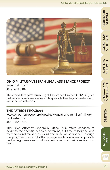

## **OHIO MILITARY/VETERAN LEGAL ASSISTANCE PROJECT**

[www.mvlap.org](http://www.mvlap.org) (877) 759-6182

The Ohio Military/Veteran Legal Assistance Project (OMVLAP) is a network of volunteer lawyers who provide free legal assistance to low-income veterans.

#### **THE PATRIOT PROGRAM**

[www.ohioattorneygeneral.gov/individuals-and-families/military](http://www.ohioattorneygeneral.gov/individuals-and-families/military-and-veterans)[and-veterans](http://www.ohioattorneygeneral.gov/individuals-and-families/military-and-veterans) (800) 282-0515

The Ohio Attorney General's Office (AG) offers services to address the specific needs of veterans, full-time military service members and mobilized Guard and Reserve personnel. Through the program, assistant attorneys generals volunteer to provide certain legal services to military personnel and their families at no cost.

**ASSISTANCE** ASSISTANCE **BENEFITS &** BENEFITS &

**WELLNESS** WELLNESS **HEALTH &** HEALTH &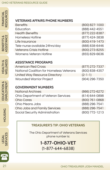## **VETERANS AFFAIRS PHONE NUMBERS**

| <b>Benefits</b>                | (800) 827-1000 |
|--------------------------------|----------------|
| Education                      | (888) 442-4551 |
| <b>Health Benefits</b>         | (877) 222-8387 |
| <b>Homeless Hotline</b>        | (877) 424-3838 |
| Life Insurance                 | (800) 419-1473 |
| Tele-nurse available 24hrs/day | (888) 838-6446 |
| <b>Veterans Crisis Hotline</b> | (800) 273-8255 |
| Womens Veteran Hotline         | (855) 829-6636 |

## **ASSISTANCE PROGRAMS**

| <b>American Red Cross</b>                | (877) 272-7337 |
|------------------------------------------|----------------|
| National Coalition for Homeless Veterans | (800) 838-4357 |
| United Way Resource Directory            | $(2-1-1)$      |
| <b>Wounded Warrior Project</b>           | (904) 296-7350 |

## **GOVERNMENT NUMBERS**

| <b>National Archives</b>            | (866) 272-6272 |
|-------------------------------------|----------------|
| Ohio Department of Veteran Services | (614) 644-0898 |
| <b>Ohio Cares</b>                   | (800) 761-0868 |
| Ohio Means Jobs                     | (888) 296-7541 |
| Ohio Jobs and Family Services       | (888) 296-7541 |
| Social Security Administration      | (800) 772-1213 |

## **TREASURER'S TIP: OHIO VETERANS**

The Ohio Department of Veterans Services phone number is:

## **1-877-OHIO-VET** (1-877-644-6838)

Financial Resources

FINANCIAL<br>RESOURCES

HEALTH &<br>WELLNESS WELLNESS HEALTH &

LEGAL<br>SERVICES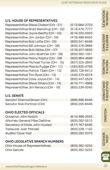(513) 684-2723 (513) 474-7777 (614) 220-0003 (419) 999-6455 (800) 541-6446 (855) 376-0868 (419) 207-0650

Financial Resources

**RESOURCES FINANCIAL** 

ASSISTANCE BENEFITS &

**ASSISTANCE BENEFITS &** 

WELLNESS HEALTH &

**WELLNESS** 

EMPLOYMENT EDUCATION &

EDUCATION &<br>EMPLOYMENT

HOUSING

**HOUSING** 

## **U.S. HOUSE OF REPRESENTATIVES**

Representative Steve Chabot (OH - 01) Representative Brad Wenstrup (OH - 02) Representative Joyce Beatty (OH - 03) Representative Jim Jordan (OH - 04) Representative Bob Latta (OH - 05) Representative Bill Johnson (OH - 06) Representative Bob Gibbs (OH - 07) Representative John Boehner (OH - 08) Representative Marcy Kaptur (OH - 09) Representative Michael Turner (OH - 10) Representative Marcia Fudge (OH - 11) Representative Patrick Tiberi (OH - 12) Representative Tim Ryan (OH - 13) Representative Dave Joyce (OH - 14) Representative Steve Stivers (OH - 15) Representative Jim Renacci (OH - 16)

#### **U.S. SENATE**

Senator Sherrod Brown (OH) Senator Rob Portman (OH)

## **OHIO ELECTED OFFICIALS**

Governor John Kasich Attorney General Mike DeWine Secretary of State John Husted Treasurer Josh Mandel Auditor Dave Yost (614) 466-3555 (800) 282-0515 (877) 767-6446 (800) 228-1102 (800) 282-0370

## **OHIO LEGISLATIVE BRANCH NUMBERS**

| Ohio House of Representatives | (800) 282-0253 |
|-------------------------------|----------------|
| Ohio Senate                   | (800) 282-0253 |

(800) 582-1001 (800) 964-4699 (937) 225-2843 (330) 835-4758 (855) 728-6412 (330) 373-0074 (800) 447-0529 (614) 771-4968 (855) 334-0040

(888) 896-6446 (800) 205-6446

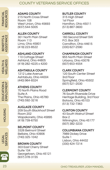## COUNTY VETERANS SERVICE OFFICES

#### **Adams County**

215 North Cross Street Room 108 West Union, Ohio 45693 (937) 544-5005

#### **Allen County**

301 North Main Street Room 113 Lima, Ohio 45801 (419) 223-8522

#### **Ashland County**

110 Cottage Street Ashland, Ohio 44805 (419) 282-4225 x 4200

**Ashtabula County** 1212 Lake Avenue Ashtabula, Ohio 44004 (440) 964-8324

#### **Athens County**

70 North Plains Road Suite A The Plains, Ohio 45780 (740) 592-3216

#### **Auglaize County**

209 South Blackhoof Street Room 202 Wapakoneta, Ohio 45895 (419) 739-6750

#### **Belmont County**

3326 Belmont Street Bellaire, Ohio 43906 (740) 325-1042

#### **Brown County**

303 East Cherry Street Suite 104 Georgetown, Ohio 45121 (937) 378-3155

#### **Butler County**

315 High Street 1st Floor Hamilton, Ohio 45011 (513) 887-3600

#### **Carroll County**

160 Second Street SW P.O. Box 303 Carrollton, Ohio 44615 (330) 627-2590

#### **Champaign County**

955 North Main Street Urbana, Ohio 43078 (937) 653-4554

#### **Clark County**

120 South Center Street 3rd Floor Springfield, Ohio 45502 (937) 521-2030

#### **Clermont County**

76 South Riverside Drive Heritage Building, 3rd Floor Batavia, Ohio 45103 (513) 732-7363

#### **Clinton County**

43 South Walnut Street Box 2 Wilmington, Ohio 45177 (937) 382-3233

#### **Columbiana County**

7989 Dickey Drive Suite 1 Lisbon, Ohio 44432 (330) 424-7214

**HOUSING** HOUSING



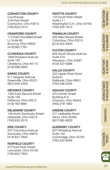## **Coshocton County**

**Courthouse** 318 Main Street Coshocton, Ohio 43812 (740) 622-2313

## **Crawford County**

112 East Mansfield Street LL Suite 95 Bucyrus, Ohio 44820 (419) 562-7761

#### **Cuyahoga County**

1849 Prospect Avenue Suite 150 Cleveland, Ohio 44115 (216) 698-2600

## **Darke County**

611 Wagner Avenue Greenville, Ohio 45331 (937) 548-5305

## **Defiance County**

1300 East Second Street Suite 102 Defiance, Ohio 43512 (419) 782-6861

#### **Delaware County** 149 North Sandusky Street

Delaware, Ohio 43015 (740) 833-2010

## **Erie County**

247 Columbus Avenue Sandusky, Ohio 44870 (419) 627-7650

## **Fairfield County**

277 East Main Street Lancaster, Ohio 43130 (740) 652-7920

## **Fayette County**

133 South Main Street Suite L11 Washington C.H., Ohio 43160 (740) 335-1610

## **Franklin County**

250 West Broad Street Columbus, Ohio 43215 (614) 525-2500

#### **Fulton County**

604 South Shoop Avenue Suite 270 Wauseon, Ohio 43567 (419) 337-9266

#### **Gallia County**

323 Upper River Road Suite B Gallipolis, Ohio 45631 (740) 446-2005

#### **Geauga County**

470 Center Street Building 8-A Chardon, Ohio 44024 (440) 279-1860

#### **Greene County**

571 Ledbetter Road Xenia, Ohio 45385 (937) 562-6020

## **Guernsey County**

627 Wheeling Avenue Suite 102 Cambridge, Ohio 43725 (740) 432-9295

## **HOUSING** HOUSING

Financial Resources

**RESOURCES FINANCIAL** 

ASSISTANCE BENEFITS &

 $\infty$ 

**ASSISTANCE BENEFITS** 

> WELLNESS HEALTH &

**WELLNESS HEALTH &** 

EMPLOYMENT EDUCATION &

EDUCATION &<br>EMPLOYMENT



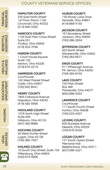## COUNTY VETERANS SERVICE OFFICES

#### **Hamilton County**

230 East Ninth Street 1st Floor, Room 1100 Cincinnati, Ohio 45202 (513) 946-3300

#### **Hancock County**

1100 East Main Cross Street Suite 201 Findlay, Ohio 45840 (419) 424-7036

#### **Hardin County**

1 Court House Square Suite 120 Kenton, Ohio 43326 (419) 674-2219

#### **Harrison County**

**Courthouse** 100 West Market Street Cadiz, Ohio 43907 (740) 942-8441

#### **Henry County**

1855 Oakwood Avenue Napoleon, Ohio 43545 (419) 592-0956

#### **Highland County**

1575 North High Street Suite 400 Hillsboro, Ohio 45133 (937) 393-8686

#### **Hocking County**

93 West Hunter Street Logan, Ohio 43138 (740) 385-7507

#### **Holmes County**

10 South Clay Street, Suite 104 Millersburg, Ohio 44654 (330) 674-4806

#### **Huron County**

130 Shady Lane Drive Norwalk, Ohio 44857 (419) 668-4150

#### **Jackson County**

157 Broadway Street Jackson, Ohio 45640 (740) 286-3004

#### **Jefferson County**

423 North Street Steubenville, Ohio 43952 (740) 283-8571

#### **Knox County**

411 Pittsburgh Avenue Mt. Vernon, Ohio 43050 (740) 393-6742

#### **Lake County**

105 Main Street Box 490 Painesville, Ohio 44077 (800) 899-5253

#### **Lawrence County**

**Courthouse** 111 South Fourth Street Ironton, Ohio 45638 (740) 533-4327

#### **Licking County**

935 Buckeye Avenue Newark, Ohio 43055 (740) 670-5430

#### **Logan County**

121 South Opera Street Memorial Hall Bellefontaine, Ohio 43311 (937) 599-4221

Financial

**HEALTH &<br>WELLNESS** WELLNESS HEALTH &

EDUCATION &<br>EMPLOYMENT EDUCATION & EMPLOYMENT

> **PNISCOH** HOUSING

LEGAL<br>SERVICES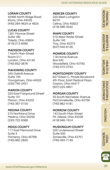## **Lorain County**

42495 North Ridge Road Elyria, Ohio 44035 (440) 284-4624 or 4625

## **Lucas County**

1301 Monroe Street Suite 180 Toledo, Ohio 43604 (419) 213-6090

#### **Madison County**

1 North Main Street Room 011 London, Ohio 43140 (740) 852-0676

## **Mahoning County**

345 Oakhill Avenue Suite 100 Youngstown, Ohio 44502 (330) 740-2451

## **Marion County**

220 East Fairground Street Suite 101 Marion, Ohio 43302 (740) 387-0100

#### **Medina County**

210 Northland Drive Medina, Ohio 44256 (330) 722-9368

## **Meigs County**

117 East Memorial Drive Suite 3 Pomeroy, Ohio 45769 (740) 992-2820

## **Mercer County**

220 West Livingston B270 Celina, Ohio 45822 (419) 586-3542

#### **Miami County**

510 West Water Street Suite 140 Troy, Ohio 45373 (937) 440-8126

#### **Monroe County**

118 Home Avenue Box 542 Woodsfield, Ohio 43793 (740) 472-0743

## **Montgomery County**

627 Edwin C. Moses Boulevard 4th Floor, East Medical Plaza Dayton, Ohio 45417 (937) 225-4801

## **Morgan County**

55 South Kennebec Avenue McConnelsville, Ohio 43756 (740) 962-4181

#### **Morrow County**

143 South Main Street Mt. Gilead, Ohio 43338 (419) 946-1914

#### **Muskingum County**

225 Underwood Street Suite 500 Zanesville, Ohio 43701 (740) 455-7149

## Resources **RESOURCES FINANCIAI** Financial

ASSISTANCE **ASSISTANCE BENEFITS** BENEFITS &  $\infty$ 

**MELLNESS** WELLNESS **HEALTH &** HEALTH &



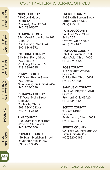## COUNTY VETERANS SERVICE OFFICES

## **Noble County**

190 Court House Room 1A Caldwell, Ohio 43724 (740) 732-5567

#### **Ottawa County**

8444 West State Route 163 Suite 102 Oak Harbor, Ohio 43449 (800) 610-8872

#### **Paulding County**

810 East Perry Street P.O. Box 215 Paulding, Ohio 45879 (419) 399-8285

#### **Perry County**

121 West Brown Street P.O. Box 66 New Lexington, Ohio 43764 (740) 342-2536

#### **Pickaway County**

141 West Main Street Suite 300 Circleville, Ohio 43113 (888) 330-3522 or (740) 474-3650

#### **Pike County**

120 South Market Street Waverly, Ohio 45690 (740) 947-2766

## **Portage County**

449 South Meridian Street Ravenna, Ohio 44266 (330) 297-3545

#### **Preble County**

108 North Barron Street Eaton, Ohio 45320 (937) 456-6111

#### **Putnam County**

245 East Main Street Suite 105 Ottawa, Ohio 45875 (419) 523-4478

#### **Richland County**

597 Park Avenue East Mansfield, Ohio 44905 (419) 774-5822

#### **Ross County**

475 Western Avenue Suite #C Chillicothe, Ohio 45601 (740) 772-1600

#### **Sandusky County**

2511 Countryside Drive Suite B Fremont, Ohio 43420 (419) 334-4421

#### **Scioto County**

612 6th Street Suite A Portsmouth, Ohio 45662 (740) 353-1477

#### **Seneca County**

920 East County Road 20 Tiffin, Ohio 44883 (800) 820-0189

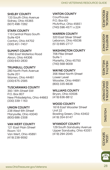## **Shelby County**

133 South Ohio Avenue Sidney, Ohio 45365 (937) 498-7282

## **Stark County**

110 Central Plaza South Suite 424 Canton, Ohio 44702 (330) 451-7457

#### **Summit County**

1060 East Waterloo Road Akron, Ohio 44306 (330) 643-2830

#### **Trumbull County**

280 North Park Avenue Suite 201 Warren, Ohio 44481 (330) 675-2585

## **Tuscarawas County**

393 16th Street SW P.O. Box 807 New Philadelphia, Ohio 44663 (330) 339-1163

## **Union County**

238 West 6th Street Marysville, Ohio 43040 (800) 686-2308

#### **Van Wert County**

121 East Main Street Room 101 Van Wert, Ohio 45891 (419) 238-9592

## **Vinton County**

**Courthouse** P.O. Box 63 McArthur, Ohio 45651 (740) 596-4571 x 224

## **Warren County**

320 East Silver Street Lebanon, Ohio 45036 (513) 695-2717

#### **Washington County**

706 Pike Street Suite 1 Marietta, Ohio 45750 (740) 568-9009

#### **Wayne County**

356 West North Street Lower Level Wooster, Ohio 44691 (800) 335-6638

#### **Williams County**

Bryan, Ohio 43506 (419) 636-8812

#### **Wood County**

1616 East Wooster Street Unit 22 Bowling Green, Ohio 43402 (419) 354-9147

#### **Wyandot County**

129 South Sandusky Avenue Upper Sandusky, Ohio 43351 (419) 294-2045

Resources RESOURCES Financial

**ASSISTANCE** ASSISTANCE **BENEFITS** BENEFITS &

**MELLNESS** WELLNESS HEALTH & HEALTH &

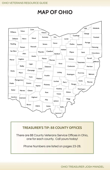## **MAP OF OHIO**



## **TREASURER'S TIP: 88 COUNTY OFFICES**

There are 88 County Veterans Service Offices in Ohio, one for each county. Call yours today!

Phone Numbers are listed on pages 23-28.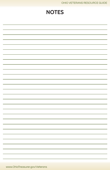## **NOTES**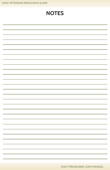|  |  |  |  | OHIO VETERANS RESOURCE GUIDE |
|--|--|--|--|------------------------------|
|--|--|--|--|------------------------------|

| <b>NOTES</b> |  |  |
|--------------|--|--|
|              |  |  |
|              |  |  |
|              |  |  |
|              |  |  |
|              |  |  |
|              |  |  |
|              |  |  |
|              |  |  |
|              |  |  |
|              |  |  |
|              |  |  |
|              |  |  |
|              |  |  |
|              |  |  |
|              |  |  |
|              |  |  |
|              |  |  |
|              |  |  |
|              |  |  |
|              |  |  |
|              |  |  |
|              |  |  |
|              |  |  |
|              |  |  |
|              |  |  |
|              |  |  |
|              |  |  |
|              |  |  |
|              |  |  |

OHIO TREASURER JOSH MANDEL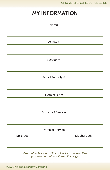## **MY INFORMATION**

|           | Name:                     |             |
|-----------|---------------------------|-------------|
|           |                           |             |
|           |                           |             |
|           | VA File #:                |             |
|           |                           |             |
|           |                           |             |
|           | Service #:                |             |
|           |                           |             |
|           |                           |             |
|           | Social Security #:        |             |
|           |                           |             |
|           |                           |             |
|           | Date of Birth:            |             |
|           |                           |             |
|           |                           |             |
|           | <b>Branch of Service:</b> |             |
|           |                           |             |
|           |                           |             |
|           | Dates of Service:         |             |
| Enlisted: |                           | Discharged: |
|           |                           |             |

Be careful disposing of this guide if you have written your personal information on this page.